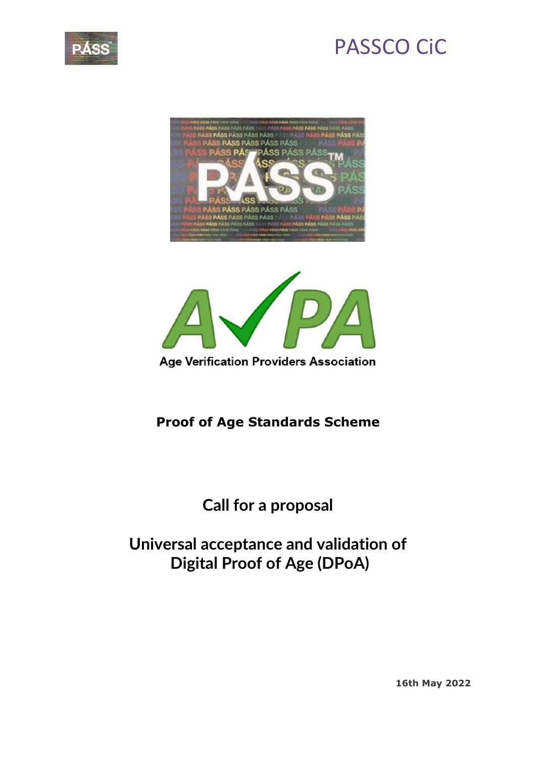

# PASSCO CiC





### **Proof of Age Standards Scheme**

### **Call for a proposal**

## **Universal acceptance and validation of Digital Proof of Age (DPoA)**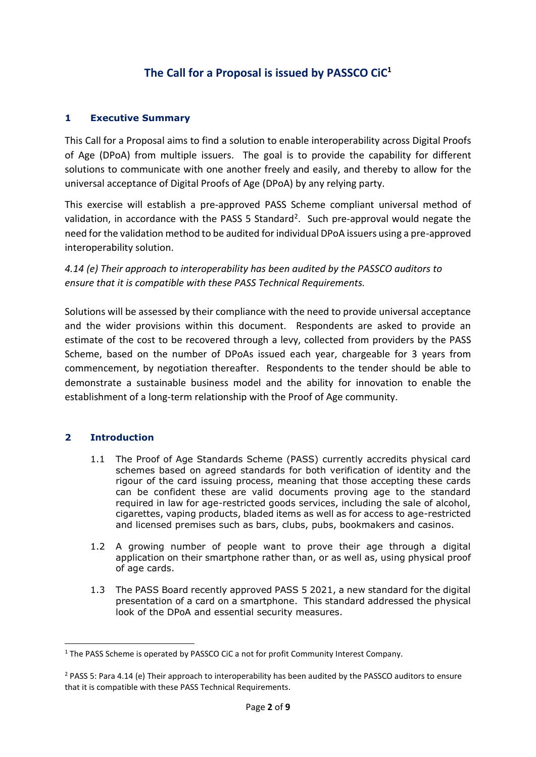### **The Call for a Proposal is issued by PASSCO CiC[1](#page-1-0)**

#### **1 Executive Summary**

This Call for a Proposal aims to find a solution to enable interoperability across Digital Proofs of Age (DPoA) from multiple issuers. The goal is to provide the capability for different solutions to communicate with one another freely and easily, and thereby to allow for the universal acceptance of Digital Proofs of Age (DPoA) by any relying party.

This exercise will establish a pre-approved PASS Scheme compliant universal method of validation, in accordance with the PASS 5 Standard<sup>[2](#page-1-1)</sup>. Such pre-approval would negate the need for the validation method to be audited for individual DPoA issuers using a pre-approved interoperability solution.

*4.14 (e) Their approach to interoperability has been audited by the PASSCO auditors to ensure that it is compatible with these PASS Technical Requirements.*

Solutions will be assessed by their compliance with the need to provide universal acceptance and the wider provisions within this document. Respondents are asked to provide an estimate of the cost to be recovered through a levy, collected from providers by the PASS Scheme, based on the number of DPoAs issued each year, chargeable for 3 years from commencement, by negotiation thereafter. Respondents to the tender should be able to demonstrate a sustainable business model and the ability for innovation to enable the establishment of a long-term relationship with the Proof of Age community.

#### **2 Introduction**

- 1.1 The Proof of Age Standards Scheme (PASS) currently accredits physical card schemes based on agreed standards for both verification of identity and the rigour of the card issuing process, meaning that those accepting these cards can be confident these are valid documents proving age to the standard required in law for age-restricted goods services, including the sale of alcohol, cigarettes, vaping products, bladed items as well as for access to age-restricted and licensed premises such as bars, clubs, pubs, bookmakers and casinos.
- 1.2 A growing number of people want to prove their age through a digital application on their smartphone rather than, or as well as, using physical proof of age cards.
- 1.3 The PASS Board recently approved PASS 5 2021, a new standard for the digital presentation of a card on a smartphone. This standard addressed the physical look of the DPoA and essential security measures.

<span id="page-1-0"></span><sup>&</sup>lt;sup>1</sup> The PASS Scheme is operated by PASSCO CiC a not for profit Community Interest Company.

<span id="page-1-1"></span><sup>2</sup> PASS 5: Para 4.14 (e) Their approach to interoperability has been audited by the PASSCO auditors to ensure that it is compatible with these PASS Technical Requirements.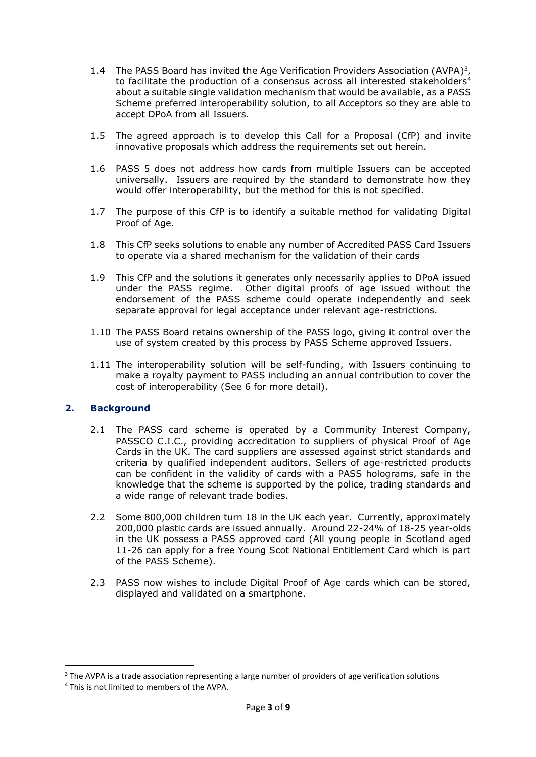- 1.4 The PASS Board has invited the Age Verification Providers Association (AVPA) [3](#page-2-0) , to facilitate the production of a consensus across all interested stakeholders<sup>[4](#page-2-1)</sup> about a suitable single validation mechanism that would be available, as a PASS Scheme preferred interoperability solution, to all Acceptors so they are able to accept DPoA from all Issuers.
- 1.5 The agreed approach is to develop this Call for a Proposal (CfP) and invite innovative proposals which address the requirements set out herein.
- 1.6 PASS 5 does not address how cards from multiple Issuers can be accepted universally. Issuers are required by the standard to demonstrate how they would offer interoperability, but the method for this is not specified.
- 1.7 The purpose of this CfP is to identify a suitable method for validating Digital Proof of Age.
- 1.8 This CfP seeks solutions to enable any number of Accredited PASS Card Issuers to operate via a shared mechanism for the validation of their cards
- 1.9 This CfP and the solutions it generates only necessarily applies to DPoA issued under the PASS regime. Other digital proofs of age issued without the endorsement of the PASS scheme could operate independently and seek separate approval for legal acceptance under relevant age-restrictions.
- 1.10 The PASS Board retains ownership of the PASS logo, giving it control over the use of system created by this process by PASS Scheme approved Issuers.
- 1.11 The interoperability solution will be self-funding, with Issuers continuing to make a royalty payment to PASS including an annual contribution to cover the cost of interoperability (See [6](#page-7-0) for more detail).

#### **2. Background**

- 2.1 The PASS card scheme is operated by a Community Interest Company, PASSCO C.I.C., providing accreditation to suppliers of physical Proof of Age Cards in the UK. The card suppliers are assessed against strict standards and criteria by qualified independent auditors. Sellers of age-restricted products can be confident in the validity of cards with a PASS holograms, safe in the knowledge that the scheme is supported by the police, trading standards and a wide range of relevant trade bodies.
- 2.2 Some 800,000 children turn 18 in the UK each year. Currently, approximately 200,000 plastic cards are issued annually. Around 22-24% of 18-25 year-olds in the UK possess a PASS approved card (All young people in Scotland aged 11-26 can apply for a free Young Scot National Entitlement Card which is part of the PASS Scheme).
- 2.3 PASS now wishes to include Digital Proof of Age cards which can be stored, displayed and validated on a smartphone.

<span id="page-2-0"></span><sup>&</sup>lt;sup>3</sup> The AVPA is a trade association representing a large number of providers of age verification solutions

<span id="page-2-1"></span><sup>4</sup> This is not limited to members of the AVPA.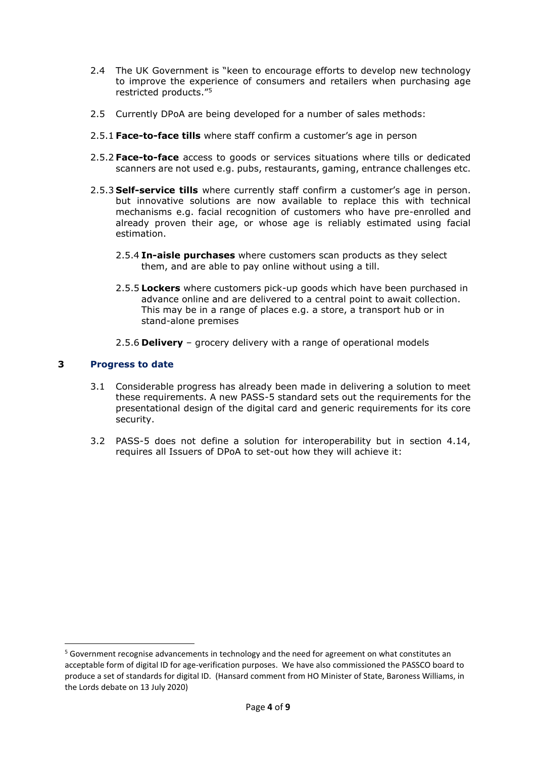- 2.4 The UK Government is "keen to encourage efforts to develop new technology to improve the experience of consumers and retailers when purchasing age restricted products."[5](#page-3-0)
- 2.5 Currently DPoA are being developed for a number of sales methods:
- 2.5.1 **Face-to-face tills** where staff confirm a customer's age in person
- 2.5.2 **Face-to-face** access to goods or services situations where tills or dedicated scanners are not used e.g. pubs, restaurants, gaming, entrance challenges etc.
- 2.5.3 **Self-service tills** where currently staff confirm a customer's age in person. but innovative solutions are now available to replace this with technical mechanisms e.g. facial recognition of customers who have pre-enrolled and already proven their age, or whose age is reliably estimated using facial estimation.
	- 2.5.4 **In-aisle purchases** where customers scan products as they select them, and are able to pay online without using a till.
	- 2.5.5 **Lockers** where customers pick-up goods which have been purchased in advance online and are delivered to a central point to await collection. This may be in a range of places e.g. a store, a transport hub or in stand-alone premises
	- 2.5.6 **Delivery** grocery delivery with a range of operational models

#### **3 Progress to date**

- 3.1 Considerable progress has already been made in delivering a solution to meet these requirements. A new PASS-5 standard sets out the requirements for the presentational design of the digital card and generic requirements for its core security.
- 3.2 PASS-5 does not define a solution for interoperability but in section 4.14, requires all Issuers of DPoA to set-out how they will achieve it:

<span id="page-3-0"></span><sup>&</sup>lt;sup>5</sup> Government recognise advancements in technology and the need for agreement on what constitutes an acceptable form of digital ID for age-verification purposes. We have also commissioned the PASSCO board to produce a set of standards for digital ID. (Hansard comment from HO Minister of State, Baroness Williams, in the Lords debate on 13 July 2020)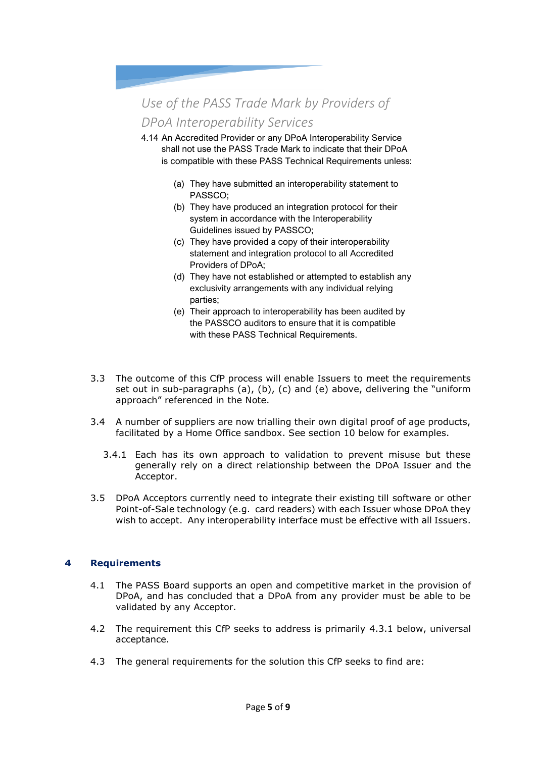### *Use of the PASS Trade Mark by Providers of DPoA Interoperability Services*

- 4.14 An Accredited Provider or any DPoA Interoperability Service shall not use the PASS Trade Mark to indicate that their DPoA is compatible with these PASS Technical Requirements unless:
	- (a) They have submitted an interoperability statement to PASSCO;
	- (b) They have produced an integration protocol for their system in accordance with the Interoperability Guidelines issued by PASSCO;
	- (c) They have provided a copy of their interoperability statement and integration protocol to all Accredited Providers of DPoA;
	- (d) They have not established or attempted to establish any exclusivity arrangements with any individual relying parties;
	- (e) Their approach to interoperability has been audited by the PASSCO auditors to ensure that it is compatible with these PASS Technical Requirements.
- 3.3 The outcome of this CfP process will enable Issuers to meet the requirements set out in sub-paragraphs (a), (b), (c) and (e) above, delivering the "uniform approach" referenced in the Note.
- 3.4 A number of suppliers are now trialling their own digital proof of age products, facilitated by a Home Office sandbox. See section 10 below for examples.
	- 3.4.1 Each has its own approach to validation to prevent misuse but these generally rely on a direct relationship between the DPoA Issuer and the Acceptor.
- 3.5 DPoA Acceptors currently need to integrate their existing till software or other Point-of-Sale technology (e.g. card readers) with each Issuer whose DPoA they wish to accept. Any interoperability interface must be effective with all Issuers.

#### **4 Requirements**

- 4.1 The PASS Board supports an open and competitive market in the provision of DPoA, and has concluded that a DPoA from any provider must be able to be validated by any Acceptor.
- 4.2 The requirement this CfP seeks to address is primarily [4.3.1](#page-5-0) below, universal acceptance.
- 4.3 The general requirements for the solution this CfP seeks to find are: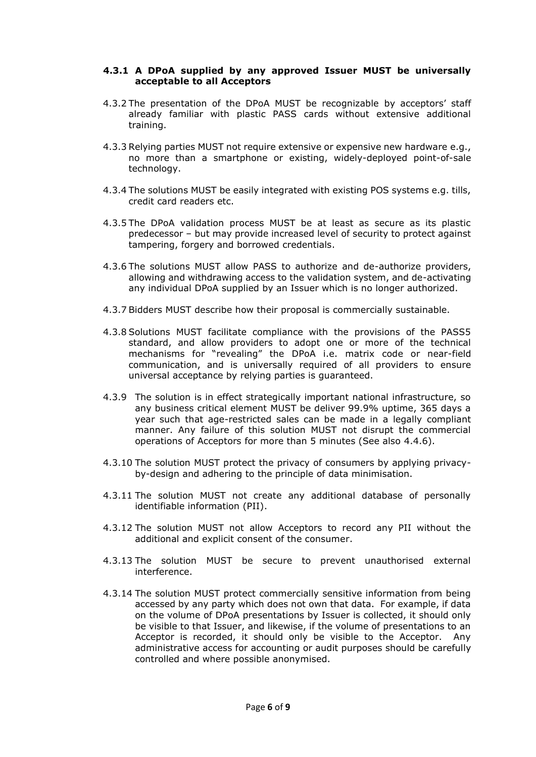#### <span id="page-5-0"></span>**4.3.1 A DPoA supplied by any approved Issuer MUST be universally acceptable to all Acceptors**

- 4.3.2 The presentation of the DPoA MUST be recognizable by acceptors' staff already familiar with plastic PASS cards without extensive additional training.
- 4.3.3 Relying parties MUST not require extensive or expensive new hardware e.g., no more than a smartphone or existing, widely-deployed point-of-sale technology.
- 4.3.4 The solutions MUST be easily integrated with existing POS systems e.g. tills, credit card readers etc.
- 4.3.5 The DPoA validation process MUST be at least as secure as its plastic predecessor – but may provide increased level of security to protect against tampering, forgery and borrowed credentials.
- 4.3.6 The solutions MUST allow PASS to authorize and de-authorize providers, allowing and withdrawing access to the validation system, and de-activating any individual DPoA supplied by an Issuer which is no longer authorized.
- 4.3.7 Bidders MUST describe how their proposal is commercially sustainable.
- 4.3.8 Solutions MUST facilitate compliance with the provisions of the PASS5 standard, and allow providers to adopt one or more of the technical mechanisms for "revealing" the DPoA i.e. matrix code or near-field communication, and is universally required of all providers to ensure universal acceptance by relying parties is guaranteed.
- 4.3.9 The solution is in effect strategically important national infrastructure, so any business critical element MUST be deliver 99.9% uptime, 365 days a year such that age-restricted sales can be made in a legally compliant manner. Any failure of this solution MUST not disrupt the commercial operations of Acceptors for more than 5 minutes (See also 4.4.6).
- 4.3.10 The solution MUST protect the privacy of consumers by applying privacyby-design and adhering to the principle of data minimisation.
- 4.3.11 The solution MUST not create any additional database of personally identifiable information (PII).
- 4.3.12 The solution MUST not allow Acceptors to record any PII without the additional and explicit consent of the consumer.
- 4.3.13 The solution MUST be secure to prevent unauthorised external interference.
- 4.3.14 The solution MUST protect commercially sensitive information from being accessed by any party which does not own that data. For example, if data on the volume of DPoA presentations by Issuer is collected, it should only be visible to that Issuer, and likewise, if the volume of presentations to an Acceptor is recorded, it should only be visible to the Acceptor. Any administrative access for accounting or audit purposes should be carefully controlled and where possible anonymised.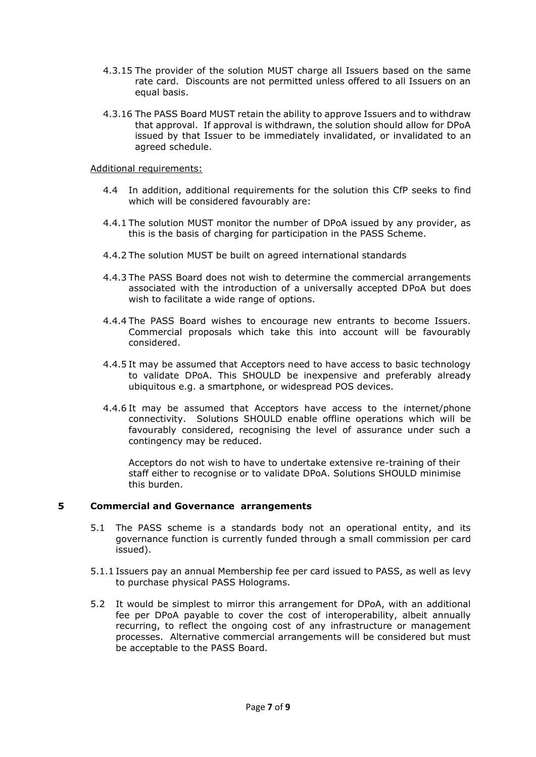- 4.3.15 The provider of the solution MUST charge all Issuers based on the same rate card. Discounts are not permitted unless offered to all Issuers on an equal basis.
- 4.3.16 The PASS Board MUST retain the ability to approve Issuers and to withdraw that approval. If approval is withdrawn, the solution should allow for DPoA issued by that Issuer to be immediately invalidated, or invalidated to an agreed schedule.

Additional requirements:

- 4.4 In addition, additional requirements for the solution this CfP seeks to find which will be considered favourably are:
- 4.4.1 The solution MUST monitor the number of DPoA issued by any provider, as this is the basis of charging for participation in the PASS Scheme.
- 4.4.2 The solution MUST be built on agreed international standards
- 4.4.3 The PASS Board does not wish to determine the commercial arrangements associated with the introduction of a universally accepted DPoA but does wish to facilitate a wide range of options.
- 4.4.4 The PASS Board wishes to encourage new entrants to become Issuers. Commercial proposals which take this into account will be favourably considered.
- 4.4.5 It may be assumed that Acceptors need to have access to basic technology to validate DPoA. This SHOULD be inexpensive and preferably already ubiquitous e.g. a smartphone, or widespread POS devices.
- 4.4.6 It may be assumed that Acceptors have access to the internet/phone connectivity. Solutions SHOULD enable offline operations which will be favourably considered, recognising the level of assurance under such a contingency may be reduced.

Acceptors do not wish to have to undertake extensive re-training of their staff either to recognise or to validate DPoA. Solutions SHOULD minimise this burden.

#### **5 Commercial and Governance arrangements**

- 5.1 The PASS scheme is a standards body not an operational entity, and its governance function is currently funded through a small commission per card issued).
- 5.1.1 Issuers pay an annual Membership fee per card issued to PASS, as well as levy to purchase physical PASS Holograms.
- 5.2 It would be simplest to mirror this arrangement for DPoA, with an additional fee per DPoA payable to cover the cost of interoperability, albeit annually recurring, to reflect the ongoing cost of any infrastructure or management processes. Alternative commercial arrangements will be considered but must be acceptable to the PASS Board.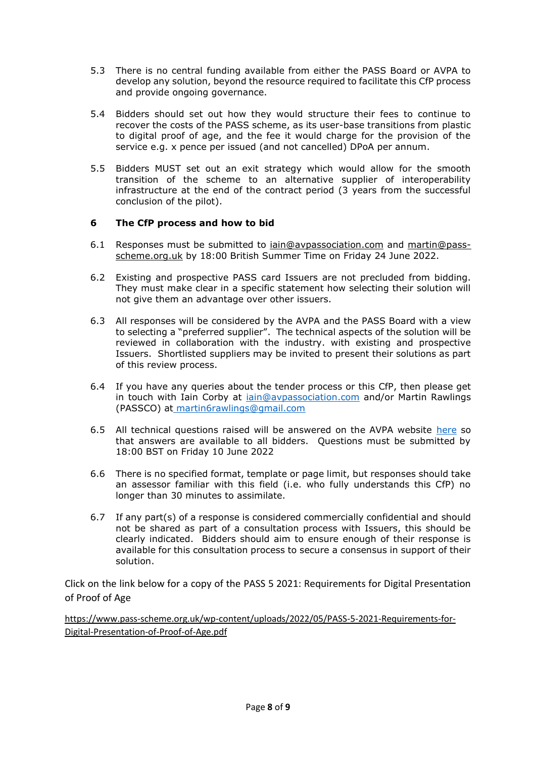- 5.3 There is no central funding available from either the PASS Board or AVPA to develop any solution, beyond the resource required to facilitate this CfP process and provide ongoing governance.
- 5.4 Bidders should set out how they would structure their fees to continue to recover the costs of the PASS scheme, as its user-base transitions from plastic to digital proof of age, and the fee it would charge for the provision of the service e.g. x pence per issued (and not cancelled) DPoA per annum.
- 5.5 Bidders MUST set out an exit strategy which would allow for the smooth transition of the scheme to an alternative supplier of interoperability infrastructure at the end of the contract period (3 years from the successful conclusion of the pilot).

#### <span id="page-7-0"></span>**6 The CfP process and how to bid**

- 6.1 Responses must be submitted to [iain@avpassociation.com](mailto:iain@avpassociation.com) and [martin@pass](mailto:martin@pass-scheme.org.uk)[scheme.org.uk](mailto:martin@pass-scheme.org.uk) by 18:00 British Summer Time on Friday 24 June 2022.
- 6.2 Existing and prospective PASS card Issuers are not precluded from bidding. They must make clear in a specific statement how selecting their solution will not give them an advantage over other issuers.
- 6.3 All responses will be considered by the AVPA and the PASS Board with a view to selecting a "preferred supplier". The technical aspects of the solution will be reviewed in collaboration with the industry. with existing and prospective Issuers. Shortlisted suppliers may be invited to present their solutions as part of this review process.
- 6.4 If you have any queries about the tender process or this CfP, then please get in touch with Iain Corby at [iain@avpassociation.com](mailto:iain@avpassociation.com?subject=DPoA%20CfP%20Question) and/or Martin Rawlings (PASSCO) at [martin6rawlings@gmail.com](mailto:martin6rawlings@gmail.com?subject=DPoA%20CfP%20Question)
- 6.5 All technical questions raised will be answered on the AVPA website [here](https://avpassociation.com/uncategorized/proof-of-age-standards-scheme-call-for-a-proposal-questions-and-answers/) so that answers are available to all bidders. Questions must be submitted by 18:00 BST on Friday 10 June 2022
- 6.6 There is no specified format, template or page limit, but responses should take an assessor familiar with this field (i.e. who fully understands this CfP) no longer than 30 minutes to assimilate.
- 6.7 If any part(s) of a response is considered commercially confidential and should not be shared as part of a consultation process with Issuers, this should be clearly indicated. Bidders should aim to ensure enough of their response is available for this consultation process to secure a consensus in support of their solution.

Click on the link below for a copy of the PASS 5 2021: Requirements for Digital Presentation of Proof of Age

https://www.pass-scheme.org.uk/wp-content/uploads/2022/05/PASS-5-2021-Requirements-for-Digital-Presentation-of-Proof-of-Age.pdf